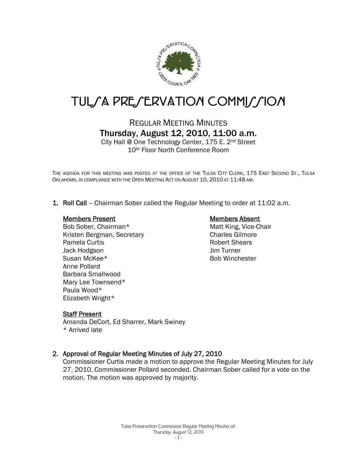

# TUL*SA PRESERVATION COMMISSION*

# REGULAR MEETING MINUTES Thursday, August 12, 2010, 11:00 a.m.

City Hall @ One Technology Center, 175 E. 2nd Street 10th Floor North Conference Room

THE AGENDA FOR THIS MEETING WAS POSTED AT THE OFFICE OF THE TULSA CITY CLERK, 175 EAST SECOND ST., TULSA OKLAHOMA, IN COMPLIANCE WITH THE OPEN MEETING ACT ON AUGUST 10, 2010 AT 11:48 AM.

1. Roll Call – Chairman Sober called the Regular Meeting to order at 11:02 a.m.

#### Members Present

Bob Sober, Chairman\* Kristen Bergman, Secretary Pamela Curtis Jack Hodgson Susan McKee\* Anne Pollard Barbara Smallwood Mary Lee Townsend\* Paula Wood\* Elizabeth Wright\*

# Members Absent

Matt King, Vice-Chair Charles Gilmore Robert Shears Jim Turner Bob Winchester

# Staff Present

Amanda DeCort, Ed Sharrer, Mark Swiney \* Arrived late

# 2. Approval of Regular Meeting Minutes of July 27, 2010

Commissioner Curtis made a motion to approve the Regular Meeting Minutes for July 27, 2010. Commissioner Pollard seconded. Chairman Sober called for a vote on the motion. The motion was approved by majority.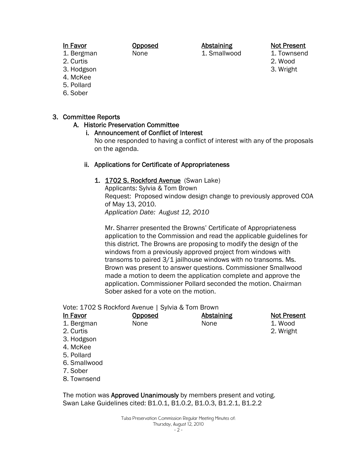# In Favor

1. Bergman

- 2. Curtis
- 3. Hodgson
- 4. McKee
- 5. Pollard
- 6. Sober

# 3. Committee Reports

# A. Historic Preservation Committee

#### i. Announcement of Conflict of Interest

Opposed None

No one responded to having a conflict of interest with any of the proposals on the agenda.

Abstaining 1. Smallwood

#### ii. Applications for Certificate of Appropriateness

#### 1. 1702 S. Rockford Avenue (Swan Lake)

Applicants: Sylvia & Tom Brown Request: Proposed window design change to previously approved COA of May 13, 2010. *Application Date: August 12, 2010* 

Mr. Sharrer presented the Browns' Certificate of Appropriateness application to the Commission and read the applicable guidelines for this district. The Browns are proposing to modify the design of the windows from a previously approved project from windows with transoms to paired 3/1 jailhouse windows with no transoms. Ms. Brown was present to answer questions. Commissioner Smallwood made a motion to deem the application complete and approve the application. Commissioner Pollard seconded the motion. Chairman Sober asked for a vote on the motion.

Vote: 1702 S Rockford Avenue | Sylvia & Tom Brown

| <b>In Favor</b> | <b>Opposed</b> | <b>Abstaining</b> | <b>Not Present</b> |
|-----------------|----------------|-------------------|--------------------|
| 1. Bergman      | None           | None              | 1. Wood            |
| 2. Curtis       |                |                   | 2. Wright          |
| 3. Hodgson      |                |                   |                    |
| 4. McKee        |                |                   |                    |
| 5. Pollard      |                |                   |                    |
| 6. Smallwood    |                |                   |                    |
| 7. Sober        |                |                   |                    |
| 8. Townsend     |                |                   |                    |

The motion was **Approved Unanimously** by members present and voting. Swan Lake Guidelines cited: B1.0.1, B1.0.2, B1.0.3, B1.2.1, B1.2.2

Not Present

1. Townsend 2. Wood 3. Wright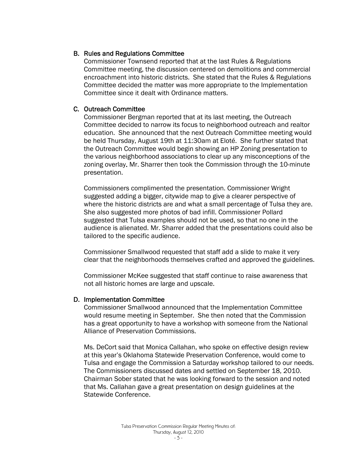# B. Rules and Regulations Committee

Commissioner Townsend reported that at the last Rules & Regulations Committee meeting, the discussion centered on demolitions and commercial encroachment into historic districts. She stated that the Rules & Regulations Committee decided the matter was more appropriate to the Implementation Committee since it dealt with Ordinance matters.

# C. Outreach Committee

Commissioner Bergman reported that at its last meeting, the Outreach Committee decided to narrow its focus to neighborhood outreach and realtor education. She announced that the next Outreach Committee meeting would be held Thursday, August 19th at 11:30am at Eloté. She further stated that the Outreach Committee would begin showing an HP Zoning presentation to the various neighborhood associations to clear up any misconceptions of the zoning overlay. Mr. Sharrer then took the Commission through the 10-minute presentation.

Commissioners complimented the presentation. Commissioner Wright suggested adding a bigger, citywide map to give a clearer perspective of where the historic districts are and what a small percentage of Tulsa they are. She also suggested more photos of bad infill. Commissioner Pollard suggested that Tulsa examples should not be used, so that no one in the audience is alienated. Mr. Sharrer added that the presentations could also be tailored to the specific audience.

Commissioner Smallwood requested that staff add a slide to make it very clear that the neighborhoods themselves crafted and approved the guidelines.

Commissioner McKee suggested that staff continue to raise awareness that not all historic homes are large and upscale.

# D. Implementation Committee

Commissioner Smallwood announced that the Implementation Committee would resume meeting in September. She then noted that the Commission has a great opportunity to have a workshop with someone from the National Alliance of Preservation Commissions.

Ms. DeCort said that Monica Callahan, who spoke on effective design review at this year's Oklahoma Statewide Preservation Conference, would come to Tulsa and engage the Commission a Saturday workshop tailored to our needs. The Commissioners discussed dates and settled on September 18, 2010. Chairman Sober stated that he was looking forward to the session and noted that Ms. Callahan gave a great presentation on design guidelines at the Statewide Conference.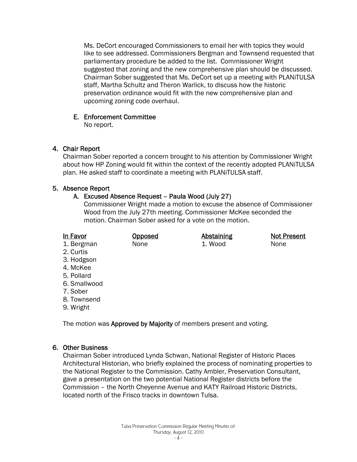Ms. DeCort encouraged Commissioners to email her with topics they would like to see addressed. Commissioners Bergman and Townsend requested that parliamentary procedure be added to the list. Commissioner Wright suggested that zoning and the new comprehensive plan should be discussed. Chairman Sober suggested that Ms. DeCort set up a meeting with PLANiTULSA staff, Martha Schultz and Theron Warlick, to discuss how the historic preservation ordinance would fit with the new comprehensive plan and upcoming zoning code overhaul.

## E. Enforcement Committee

No report.

# 4. Chair Report

Chairman Sober reported a concern brought to his attention by Commissioner Wright about how HP Zoning would fit within the context of the recently adopted PLANiTULSA plan. He asked staff to coordinate a meeting with PLANiTULSA staff.

# 5. Absence Report

# A. Excused Absence Request – Paula Wood (July 27)

Commissioner Wright made a motion to excuse the absence of Commissioner Wood from the July 27th meeting. Commissioner McKee seconded the motion. Chairman Sober asked for a vote on the motion.

| In Favor     | <b>Opposed</b> | <b>Abstaining</b> | <b>Not Present</b> |
|--------------|----------------|-------------------|--------------------|
| 1. Bergman   | None           | 1. Wood           | None               |
| 2. Curtis    |                |                   |                    |
| 3. Hodgson   |                |                   |                    |
| 4. McKee     |                |                   |                    |
| 5. Pollard   |                |                   |                    |
| 6. Smallwood |                |                   |                    |
| 7. Sober     |                |                   |                    |

- 8. Townsend
- 9. Wright

The motion was Approved by Majority of members present and voting.

# 6. Other Business

Chairman Sober introduced Lynda Schwan, National Register of Historic Places Architectural Historian, who briefly explained the process of nominating properties to the National Register to the Commission. Cathy Ambler, Preservation Consultant, gave a presentation on the two potential National Register districts before the Commission – the North Cheyenne Avenue and KATY Railroad Historic Districts, located north of the Frisco tracks in downtown Tulsa.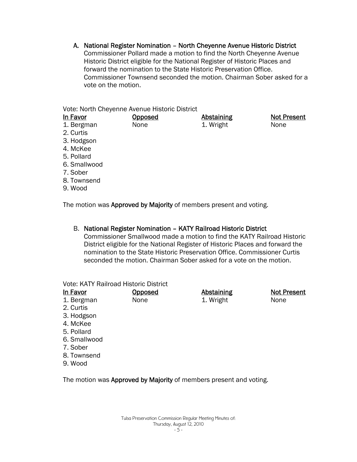A. National Register Nomination – North Cheyenne Avenue Historic District Commissioner Pollard made a motion to find the North Cheyenne Avenue Historic District eligible for the National Register of Historic Places and forward the nomination to the State Historic Preservation Office. Commissioner Townsend seconded the motion. Chairman Sober asked for a vote on the motion.

Vote: North Cheyenne Avenue Historic District

| In Favor     | <b>Opposed</b> | <b>Abstaining</b> | <b>Not Present</b> |
|--------------|----------------|-------------------|--------------------|
| 1. Bergman   | None           | 1. Wright         | None               |
| 2. Curtis    |                |                   |                    |
| 3. Hodgson   |                |                   |                    |
| 4. McKee     |                |                   |                    |
| 5. Pollard   |                |                   |                    |
| 6. Smallwood |                |                   |                    |
| 7. Sober     |                |                   |                    |
| 8. Townsend  |                |                   |                    |
| 9. Wood      |                |                   |                    |

The motion was Approved by Majority of members present and voting.

# B. National Register Nomination – KATY Railroad Historic District

Commissioner Smallwood made a motion to find the KATY Railroad Historic District eligible for the National Register of Historic Places and forward the nomination to the State Historic Preservation Office. Commissioner Curtis seconded the motion. Chairman Sober asked for a vote on the motion.

Vote: KATY Railroad Historic District

| In Favor   | <b>Opposed</b> | <b>Abstaining</b> | <b>Not Present</b> |
|------------|----------------|-------------------|--------------------|
| 1. Bergman | None           | 1. Wright         | None               |
|            |                |                   |                    |

- 2. Curtis
- 3. Hodgson
- 4. McKee
- 5. Pollard
- 6. Smallwood
- 7. Sober
- 8. Townsend
- 9. Wood

The motion was Approved by Majority of members present and voting.